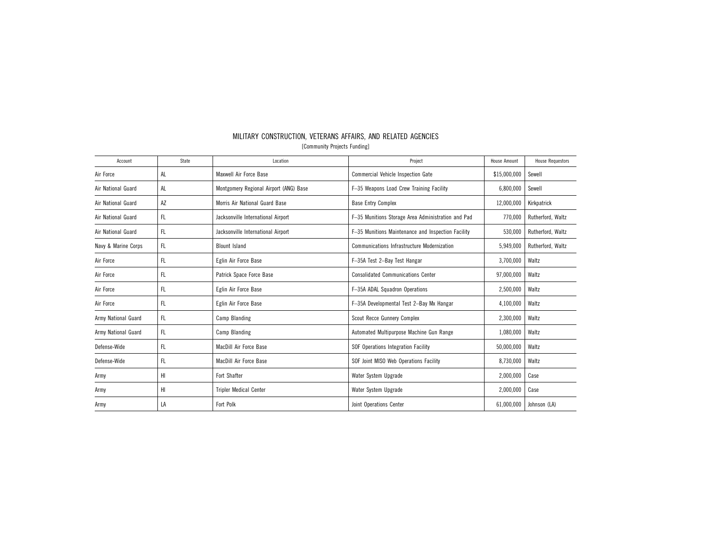| Account             | State     | Location                               | Project                                            | <b>House Amount</b> | <b>House Requestors</b> |
|---------------------|-----------|----------------------------------------|----------------------------------------------------|---------------------|-------------------------|
| Air Force           | AL        | Maxwell Air Force Base                 | <b>Commercial Vehicle Inspection Gate</b>          | \$15,000,000        | Sewell                  |
| Air National Guard  | AL        | Montgomery Regional Airport (ANG) Base | F-35 Weapons Load Crew Training Facility           | 6,800,000           | Sewell                  |
| Air National Guard  | AZ        | Morris Air National Guard Base         | <b>Base Entry Complex</b>                          | 12,000,000          | Kirkpatrick             |
| Air National Guard  | FL.       | Jacksonville International Airport     | F-35 Munitions Storage Area Administration and Pad | 770,000             | Rutherford, Waltz       |
| Air National Guard  | FL        | Jacksonville International Airport     | F-35 Munitions Maintenance and Inspection Facility | 530,000             | Rutherford, Waltz       |
| Navy & Marine Corps | FL        | <b>Blount Island</b>                   | <b>Communications Infrastructure Modernization</b> | 5,949,000           | Rutherford, Waltz       |
| Air Force           | FL        | Eglin Air Force Base                   | F-35A Test 2-Bay Test Hangar                       | 3,700,000           | Waltz                   |
| Air Force           | FL.       | Patrick Space Force Base               | <b>Consolidated Communications Center</b>          | 97,000,000          | Waltz                   |
| Air Force           | <b>FL</b> | Eglin Air Force Base                   | F-35A ADAL Squadron Operations                     | 2,500,000           | Waltz                   |
| Air Force           | FL.       | Eglin Air Force Base                   | F-35A Developmental Test 2-Bay Mx Hangar           | 4,100,000           | Waltz                   |
| Army National Guard | FL        | Camp Blanding                          | Scout Recce Gunnery Complex                        | 2,300,000           | Waltz                   |
| Army National Guard | FL        | Camp Blanding                          | Automated Multipurpose Machine Gun Range           | 1,080,000           | Waltz                   |
| Defense-Wide        | FL        | MacDill Air Force Base                 | SOF Operations Integration Facility                | 50,000,000          | Waltz                   |
| Defense-Wide        | FL.       | MacDill Air Force Base                 | SOF Joint MISO Web Operations Facility             | 8,730,000           | Waltz                   |
| Army                | HI        | Fort Shafter                           | Water System Upgrade                               | 2,000,000           | Case                    |
| Army                | HI        | <b>Tripler Medical Center</b>          | Water System Upgrade                               | 2,000,000           | Case                    |
| Army                | LA        | Fort Polk                              | Joint Operations Center                            | 61,000,000          | Johnson (LA)            |

## MILITARY CONSTRUCTION, VETERANS AFFAIRS, AND RELATED AGENCIES [Community Projects Funding]